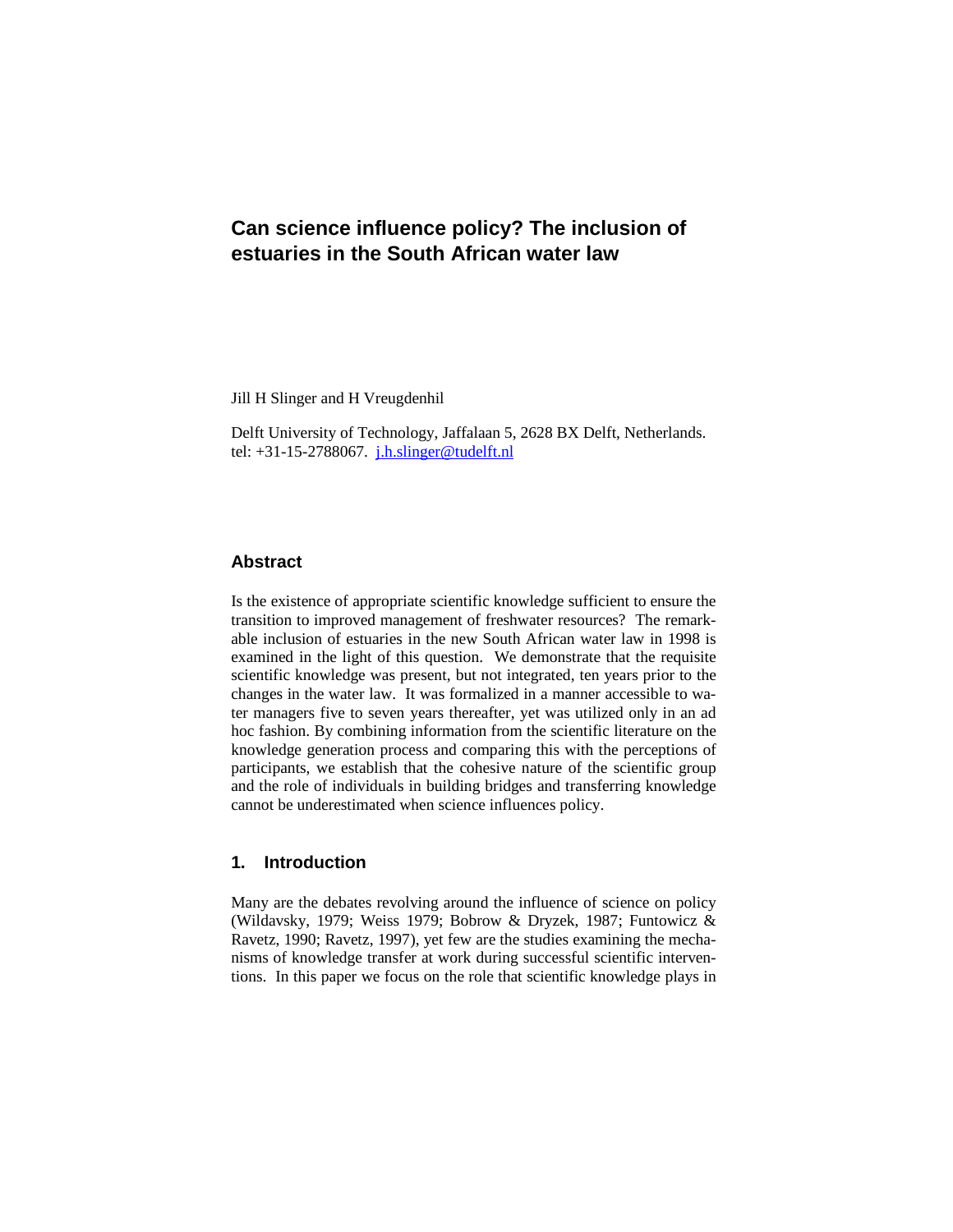# **Can science influence policy? The inclusion of estuaries in the South African water law**

Jill H Slinger and H Vreugdenhil

Delft University of Technology, Jaffalaan 5, 2628 BX Delft, Netherlands. tel:  $+31-15-2788067$ . *j.h.slinger@tudelft.nl* 

# **Abstract**

Is the existence of appropriate scientific knowledge sufficient to ensure the transition to improved management of freshwater resources? The remarkable inclusion of estuaries in the new South African water law in 1998 is examined in the light of this question. We demonstrate that the requisite scientific knowledge was present, but not integrated, ten years prior to the changes in the water law. It was formalized in a manner accessible to water managers five to seven years thereafter, yet was utilized only in an ad hoc fashion. By combining information from the scientific literature on the knowledge generation process and comparing this with the perceptions of participants, we establish that the cohesive nature of the scientific group and the role of individuals in building bridges and transferring knowledge cannot be underestimated when science influences policy.

# **1. Introduction**

Many are the debates revolving around the influence of science on policy (Wildavsky, 1979; Weiss 1979; Bobrow & Dryzek, 1987; Funtowicz & Ravetz, 1990; Ravetz, 1997), yet few are the studies examining the mechanisms of knowledge transfer at work during successful scientific interventions. In this paper we focus on the role that scientific knowledge plays in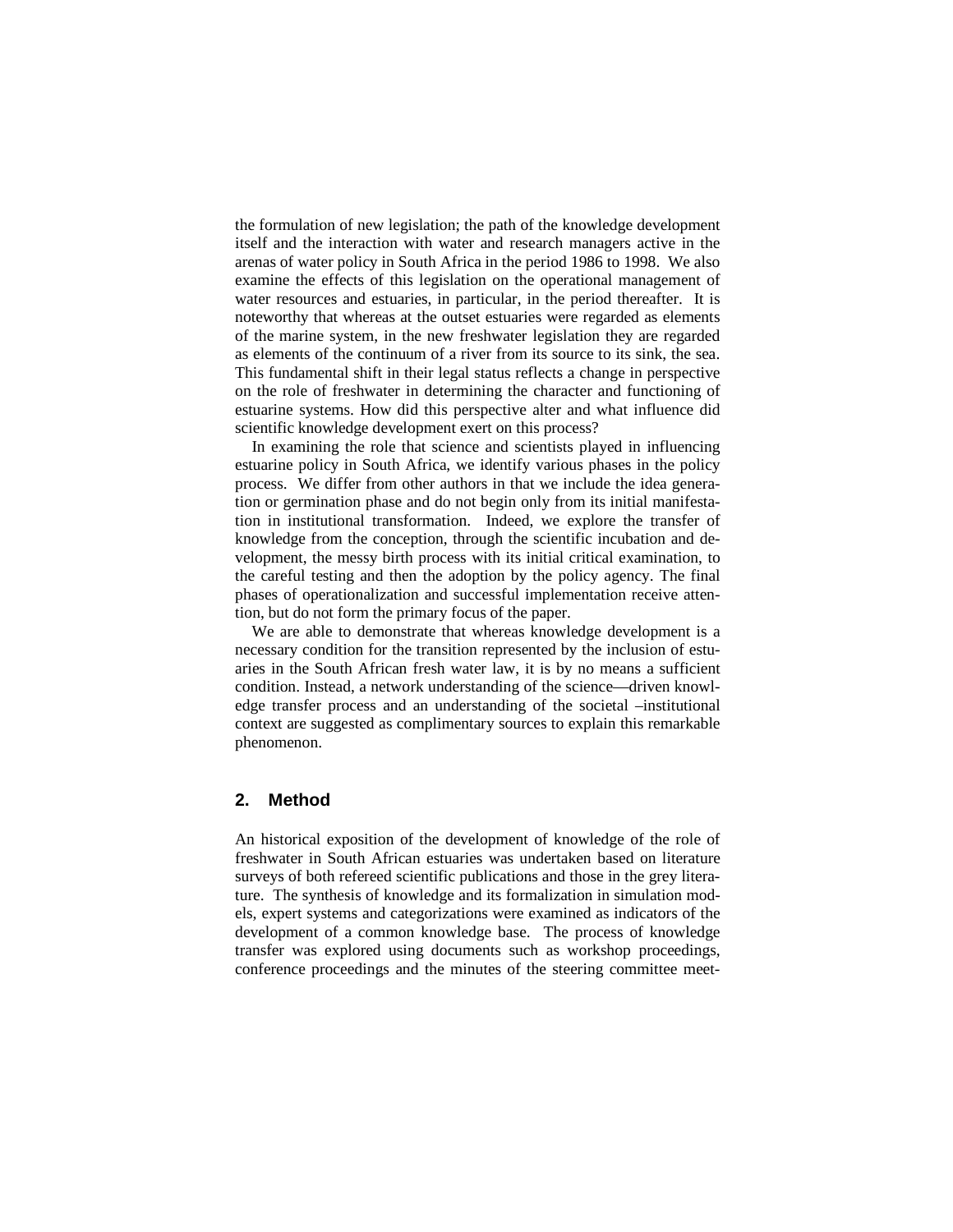the formulation of new legislation; the path of the knowledge development itself and the interaction with water and research managers active in the arenas of water policy in South Africa in the period 1986 to 1998. We also examine the effects of this legislation on the operational management of water resources and estuaries, in particular, in the period thereafter. It is noteworthy that whereas at the outset estuaries were regarded as elements of the marine system, in the new freshwater legislation they are regarded as elements of the continuum of a river from its source to its sink, the sea. This fundamental shift in their legal status reflects a change in perspective on the role of freshwater in determining the character and functioning of estuarine systems. How did this perspective alter and what influence did scientific knowledge development exert on this process?

In examining the role that science and scientists played in influencing estuarine policy in South Africa, we identify various phases in the policy process. We differ from other authors in that we include the idea generation or germination phase and do not begin only from its initial manifestation in institutional transformation. Indeed, we explore the transfer of knowledge from the conception, through the scientific incubation and development, the messy birth process with its initial critical examination, to the careful testing and then the adoption by the policy agency. The final phases of operationalization and successful implementation receive attention, but do not form the primary focus of the paper.

We are able to demonstrate that whereas knowledge development is a necessary condition for the transition represented by the inclusion of estuaries in the South African fresh water law, it is by no means a sufficient condition. Instead, a network understanding of the science—driven knowledge transfer process and an understanding of the societal –institutional context are suggested as complimentary sources to explain this remarkable phenomenon.

# **2. Method**

An historical exposition of the development of knowledge of the role of freshwater in South African estuaries was undertaken based on literature surveys of both refereed scientific publications and those in the grey literature. The synthesis of knowledge and its formalization in simulation models, expert systems and categorizations were examined as indicators of the development of a common knowledge base. The process of knowledge transfer was explored using documents such as workshop proceedings, conference proceedings and the minutes of the steering committee meet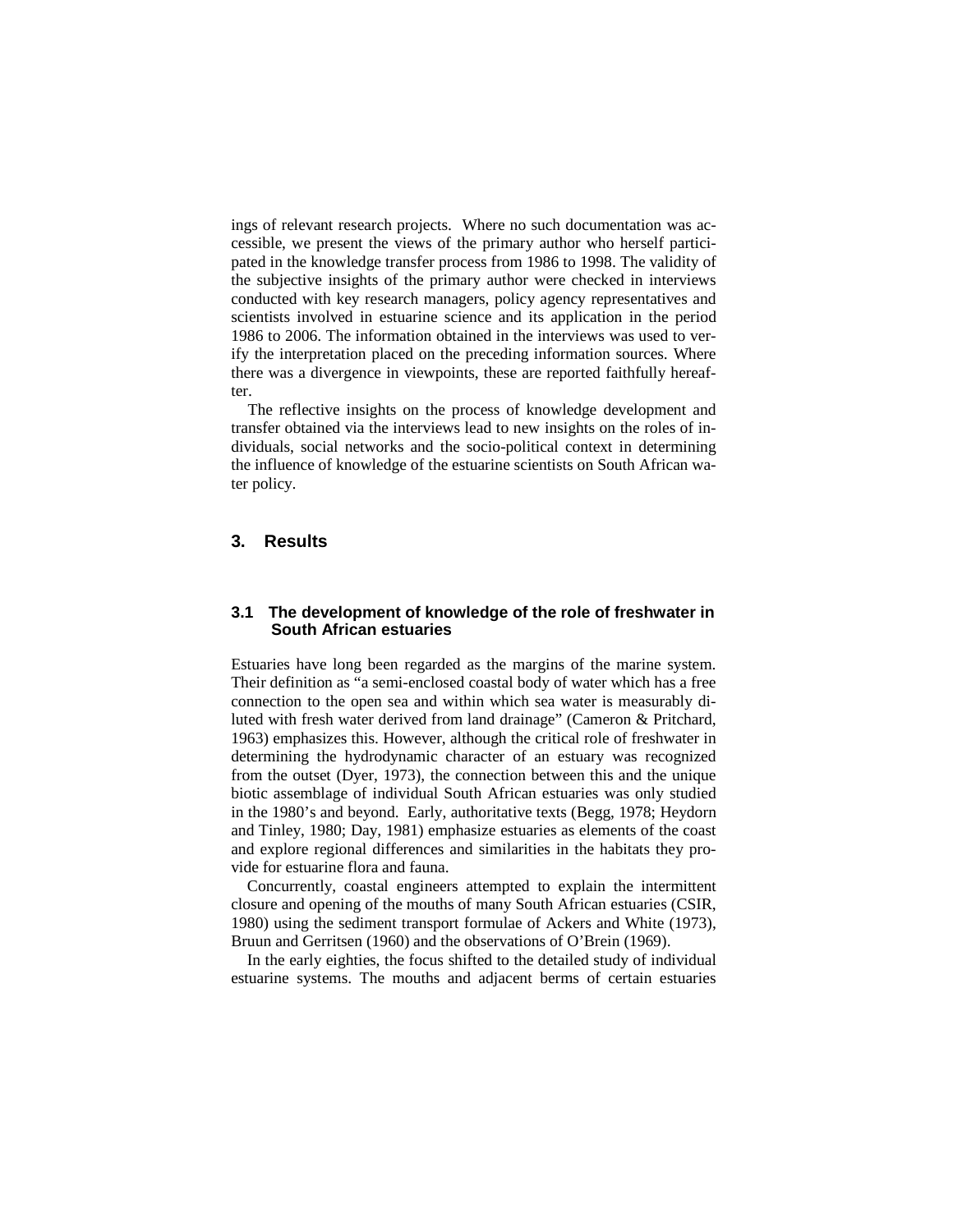ings of relevant research projects. Where no such documentation was accessible, we present the views of the primary author who herself participated in the knowledge transfer process from 1986 to 1998. The validity of the subjective insights of the primary author were checked in interviews conducted with key research managers, policy agency representatives and scientists involved in estuarine science and its application in the period 1986 to 2006. The information obtained in the interviews was used to verify the interpretation placed on the preceding information sources. Where there was a divergence in viewpoints, these are reported faithfully hereafter.

The reflective insights on the process of knowledge development and transfer obtained via the interviews lead to new insights on the roles of individuals, social networks and the socio-political context in determining the influence of knowledge of the estuarine scientists on South African water policy.

# **3. Results**

#### **3.1 The development of knowledge of the role of freshwater in South African estuaries**

Estuaries have long been regarded as the margins of the marine system. Their definition as "a semi-enclosed coastal body of water which has a free connection to the open sea and within which sea water is measurably diluted with fresh water derived from land drainage" (Cameron & Pritchard, 1963) emphasizes this. However, although the critical role of freshwater in determining the hydrodynamic character of an estuary was recognized from the outset (Dyer, 1973), the connection between this and the unique biotic assemblage of individual South African estuaries was only studied in the 1980's and beyond. Early, authoritative texts (Begg, 1978; Heydorn and Tinley, 1980; Day, 1981) emphasize estuaries as elements of the coast and explore regional differences and similarities in the habitats they provide for estuarine flora and fauna.

Concurrently, coastal engineers attempted to explain the intermittent closure and opening of the mouths of many South African estuaries (CSIR, 1980) using the sediment transport formulae of Ackers and White (1973), Bruun and Gerritsen (1960) and the observations of O'Brein (1969).

In the early eighties, the focus shifted to the detailed study of individual estuarine systems. The mouths and adjacent berms of certain estuaries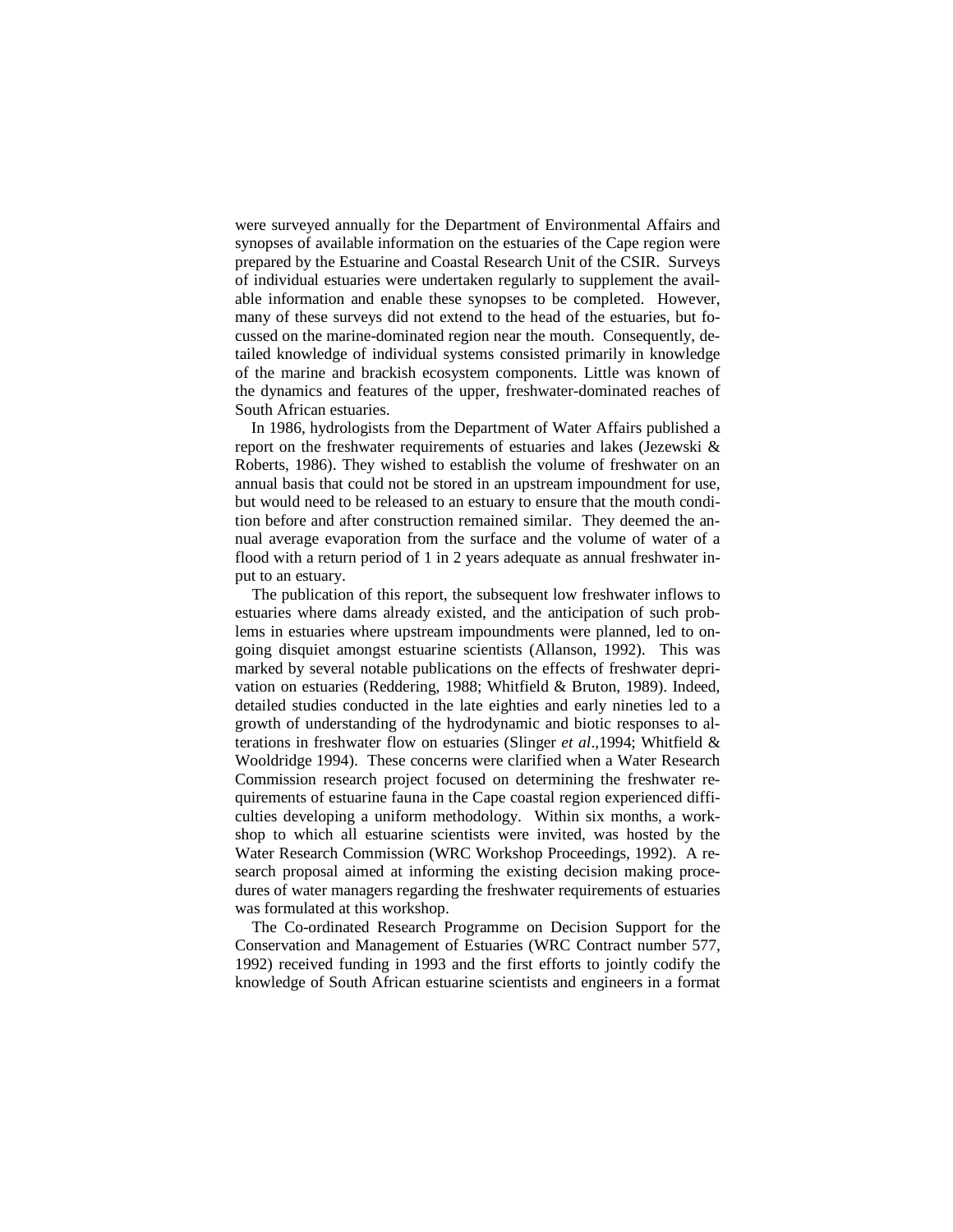were surveyed annually for the Department of Environmental Affairs and synopses of available information on the estuaries of the Cape region were prepared by the Estuarine and Coastal Research Unit of the CSIR. Surveys of individual estuaries were undertaken regularly to supplement the available information and enable these synopses to be completed. However, many of these surveys did not extend to the head of the estuaries, but focussed on the marine-dominated region near the mouth. Consequently, detailed knowledge of individual systems consisted primarily in knowledge of the marine and brackish ecosystem components. Little was known of the dynamics and features of the upper, freshwater-dominated reaches of South African estuaries.

In 1986, hydrologists from the Department of Water Affairs published a report on the freshwater requirements of estuaries and lakes (Jezewski & Roberts, 1986). They wished to establish the volume of freshwater on an annual basis that could not be stored in an upstream impoundment for use, but would need to be released to an estuary to ensure that the mouth condition before and after construction remained similar. They deemed the annual average evaporation from the surface and the volume of water of a flood with a return period of 1 in 2 years adequate as annual freshwater input to an estuary.

The publication of this report, the subsequent low freshwater inflows to estuaries where dams already existed, and the anticipation of such problems in estuaries where upstream impoundments were planned, led to ongoing disquiet amongst estuarine scientists (Allanson, 1992). This was marked by several notable publications on the effects of freshwater deprivation on estuaries (Reddering, 1988; Whitfield & Bruton, 1989). Indeed, detailed studies conducted in the late eighties and early nineties led to a growth of understanding of the hydrodynamic and biotic responses to alterations in freshwater flow on estuaries (Slinger *et al*.,1994; Whitfield & Wooldridge 1994). These concerns were clarified when a Water Research Commission research project focused on determining the freshwater requirements of estuarine fauna in the Cape coastal region experienced difficulties developing a uniform methodology. Within six months, a workshop to which all estuarine scientists were invited, was hosted by the Water Research Commission (WRC Workshop Proceedings, 1992). A research proposal aimed at informing the existing decision making procedures of water managers regarding the freshwater requirements of estuaries was formulated at this workshop.

The Co-ordinated Research Programme on Decision Support for the Conservation and Management of Estuaries (WRC Contract number 577, 1992) received funding in 1993 and the first efforts to jointly codify the knowledge of South African estuarine scientists and engineers in a format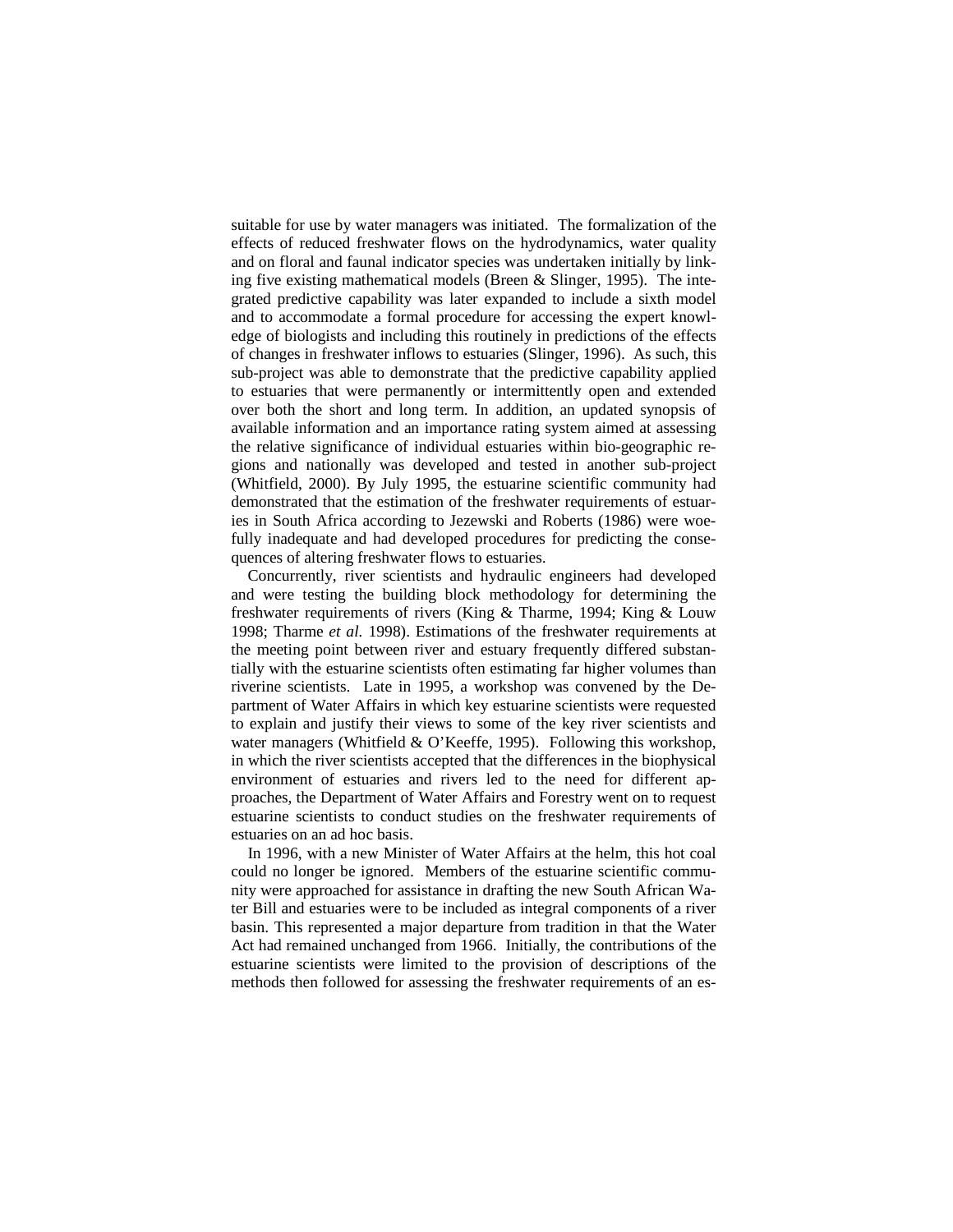suitable for use by water managers was initiated. The formalization of the effects of reduced freshwater flows on the hydrodynamics, water quality and on floral and faunal indicator species was undertaken initially by linking five existing mathematical models (Breen & Slinger, 1995). The integrated predictive capability was later expanded to include a sixth model and to accommodate a formal procedure for accessing the expert knowledge of biologists and including this routinely in predictions of the effects of changes in freshwater inflows to estuaries (Slinger, 1996). As such, this sub-project was able to demonstrate that the predictive capability applied to estuaries that were permanently or intermittently open and extended over both the short and long term. In addition, an updated synopsis of available information and an importance rating system aimed at assessing the relative significance of individual estuaries within bio-geographic regions and nationally was developed and tested in another sub-project (Whitfield, 2000). By July 1995, the estuarine scientific community had demonstrated that the estimation of the freshwater requirements of estuaries in South Africa according to Jezewski and Roberts (1986) were woefully inadequate and had developed procedures for predicting the consequences of altering freshwater flows to estuaries.

Concurrently, river scientists and hydraulic engineers had developed and were testing the building block methodology for determining the freshwater requirements of rivers (King & Tharme, 1994; King & Louw 1998; Tharme *et al.* 1998). Estimations of the freshwater requirements at the meeting point between river and estuary frequently differed substantially with the estuarine scientists often estimating far higher volumes than riverine scientists. Late in 1995, a workshop was convened by the Department of Water Affairs in which key estuarine scientists were requested to explain and justify their views to some of the key river scientists and water managers (Whitfield & O'Keeffe, 1995). Following this workshop, in which the river scientists accepted that the differences in the biophysical environment of estuaries and rivers led to the need for different approaches, the Department of Water Affairs and Forestry went on to request estuarine scientists to conduct studies on the freshwater requirements of estuaries on an ad hoc basis.

In 1996, with a new Minister of Water Affairs at the helm, this hot coal could no longer be ignored. Members of the estuarine scientific community were approached for assistance in drafting the new South African Water Bill and estuaries were to be included as integral components of a river basin. This represented a major departure from tradition in that the Water Act had remained unchanged from 1966. Initially, the contributions of the estuarine scientists were limited to the provision of descriptions of the methods then followed for assessing the freshwater requirements of an es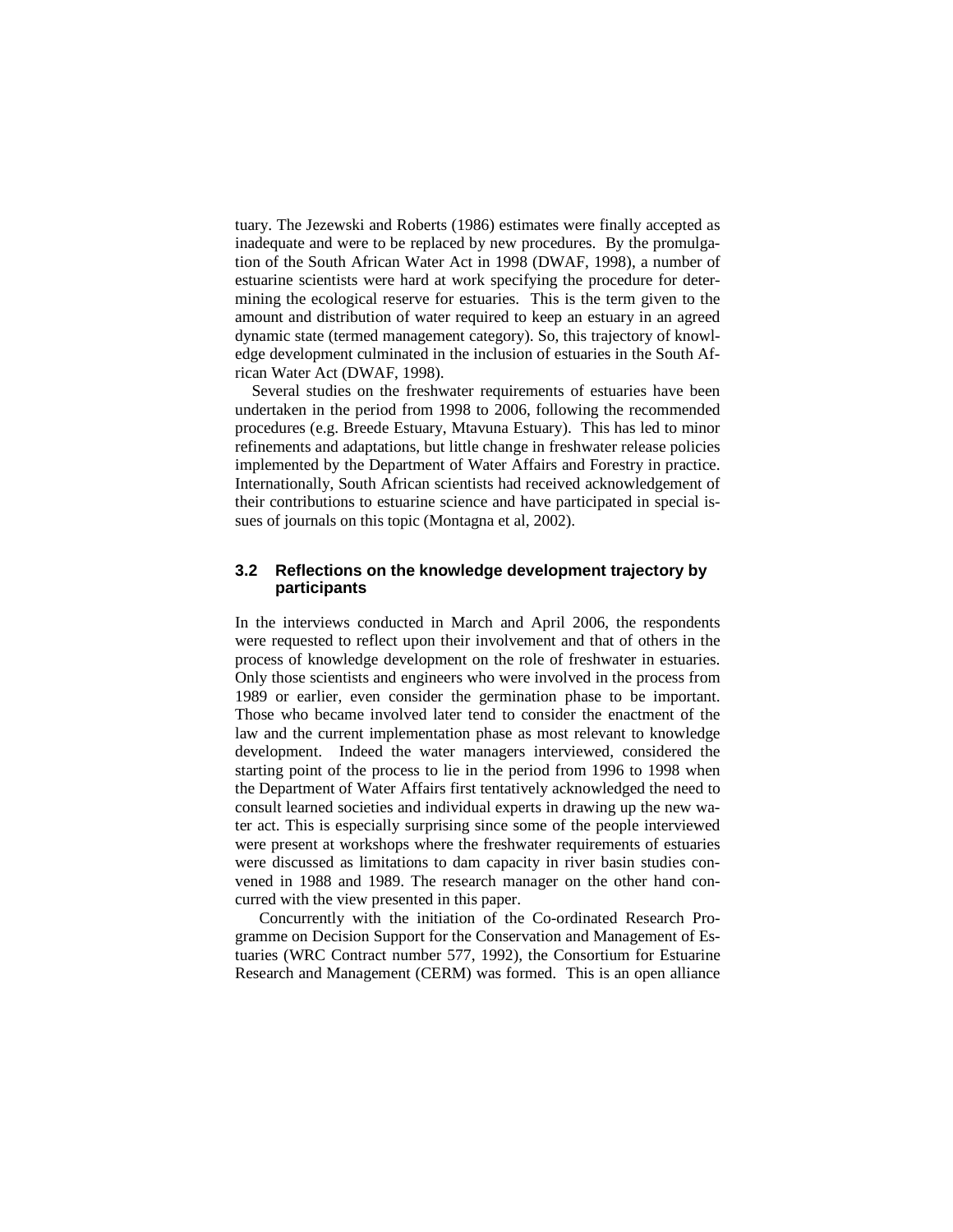tuary. The Jezewski and Roberts (1986) estimates were finally accepted as inadequate and were to be replaced by new procedures. By the promulgation of the South African Water Act in 1998 (DWAF, 1998), a number of estuarine scientists were hard at work specifying the procedure for determining the ecological reserve for estuaries. This is the term given to the amount and distribution of water required to keep an estuary in an agreed dynamic state (termed management category). So, this trajectory of knowledge development culminated in the inclusion of estuaries in the South African Water Act (DWAF, 1998).

Several studies on the freshwater requirements of estuaries have been undertaken in the period from 1998 to 2006, following the recommended procedures (e.g. Breede Estuary, Mtavuna Estuary). This has led to minor refinements and adaptations, but little change in freshwater release policies implemented by the Department of Water Affairs and Forestry in practice. Internationally, South African scientists had received acknowledgement of their contributions to estuarine science and have participated in special issues of journals on this topic (Montagna et al, 2002).

#### **3.2 Reflections on the knowledge development trajectory by participants**

In the interviews conducted in March and April 2006, the respondents were requested to reflect upon their involvement and that of others in the process of knowledge development on the role of freshwater in estuaries. Only those scientists and engineers who were involved in the process from 1989 or earlier, even consider the germination phase to be important. Those who became involved later tend to consider the enactment of the law and the current implementation phase as most relevant to knowledge development. Indeed the water managers interviewed, considered the starting point of the process to lie in the period from 1996 to 1998 when the Department of Water Affairs first tentatively acknowledged the need to consult learned societies and individual experts in drawing up the new water act. This is especially surprising since some of the people interviewed were present at workshops where the freshwater requirements of estuaries were discussed as limitations to dam capacity in river basin studies convened in 1988 and 1989. The research manager on the other hand concurred with the view presented in this paper.

Concurrently with the initiation of the Co-ordinated Research Programme on Decision Support for the Conservation and Management of Estuaries (WRC Contract number 577, 1992), the Consortium for Estuarine Research and Management (CERM) was formed. This is an open alliance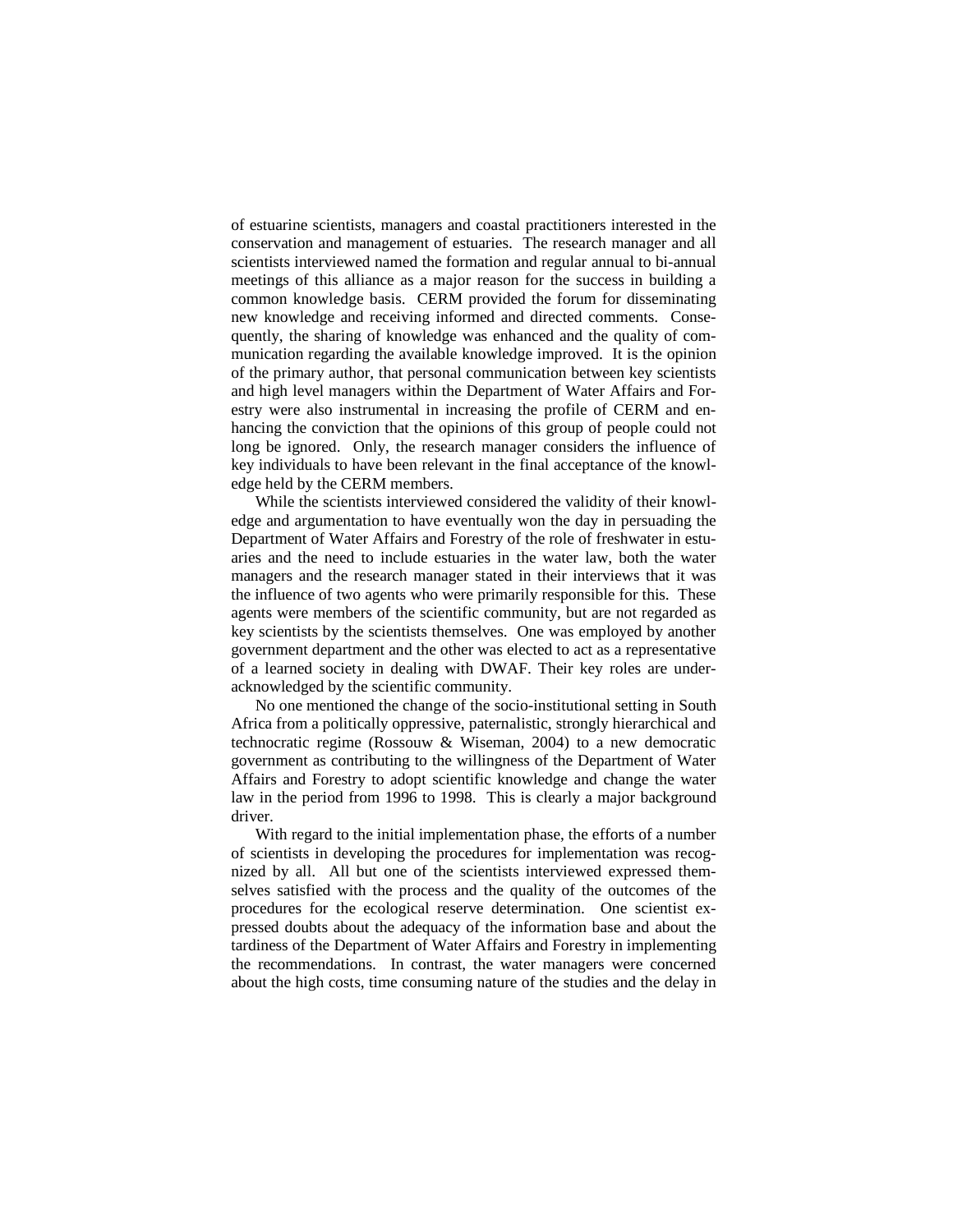of estuarine scientists, managers and coastal practitioners interested in the conservation and management of estuaries. The research manager and all scientists interviewed named the formation and regular annual to bi-annual meetings of this alliance as a major reason for the success in building a common knowledge basis. CERM provided the forum for disseminating new knowledge and receiving informed and directed comments. Consequently, the sharing of knowledge was enhanced and the quality of communication regarding the available knowledge improved. It is the opinion of the primary author, that personal communication between key scientists and high level managers within the Department of Water Affairs and Forestry were also instrumental in increasing the profile of CERM and enhancing the conviction that the opinions of this group of people could not long be ignored. Only, the research manager considers the influence of key individuals to have been relevant in the final acceptance of the knowledge held by the CERM members.

While the scientists interviewed considered the validity of their knowledge and argumentation to have eventually won the day in persuading the Department of Water Affairs and Forestry of the role of freshwater in estuaries and the need to include estuaries in the water law, both the water managers and the research manager stated in their interviews that it was the influence of two agents who were primarily responsible for this. These agents were members of the scientific community, but are not regarded as key scientists by the scientists themselves. One was employed by another government department and the other was elected to act as a representative of a learned society in dealing with DWAF. Their key roles are underacknowledged by the scientific community.

No one mentioned the change of the socio-institutional setting in South Africa from a politically oppressive, paternalistic, strongly hierarchical and technocratic regime (Rossouw & Wiseman, 2004) to a new democratic government as contributing to the willingness of the Department of Water Affairs and Forestry to adopt scientific knowledge and change the water law in the period from 1996 to 1998. This is clearly a major background driver.

With regard to the initial implementation phase, the efforts of a number of scientists in developing the procedures for implementation was recognized by all. All but one of the scientists interviewed expressed themselves satisfied with the process and the quality of the outcomes of the procedures for the ecological reserve determination. One scientist expressed doubts about the adequacy of the information base and about the tardiness of the Department of Water Affairs and Forestry in implementing the recommendations. In contrast, the water managers were concerned about the high costs, time consuming nature of the studies and the delay in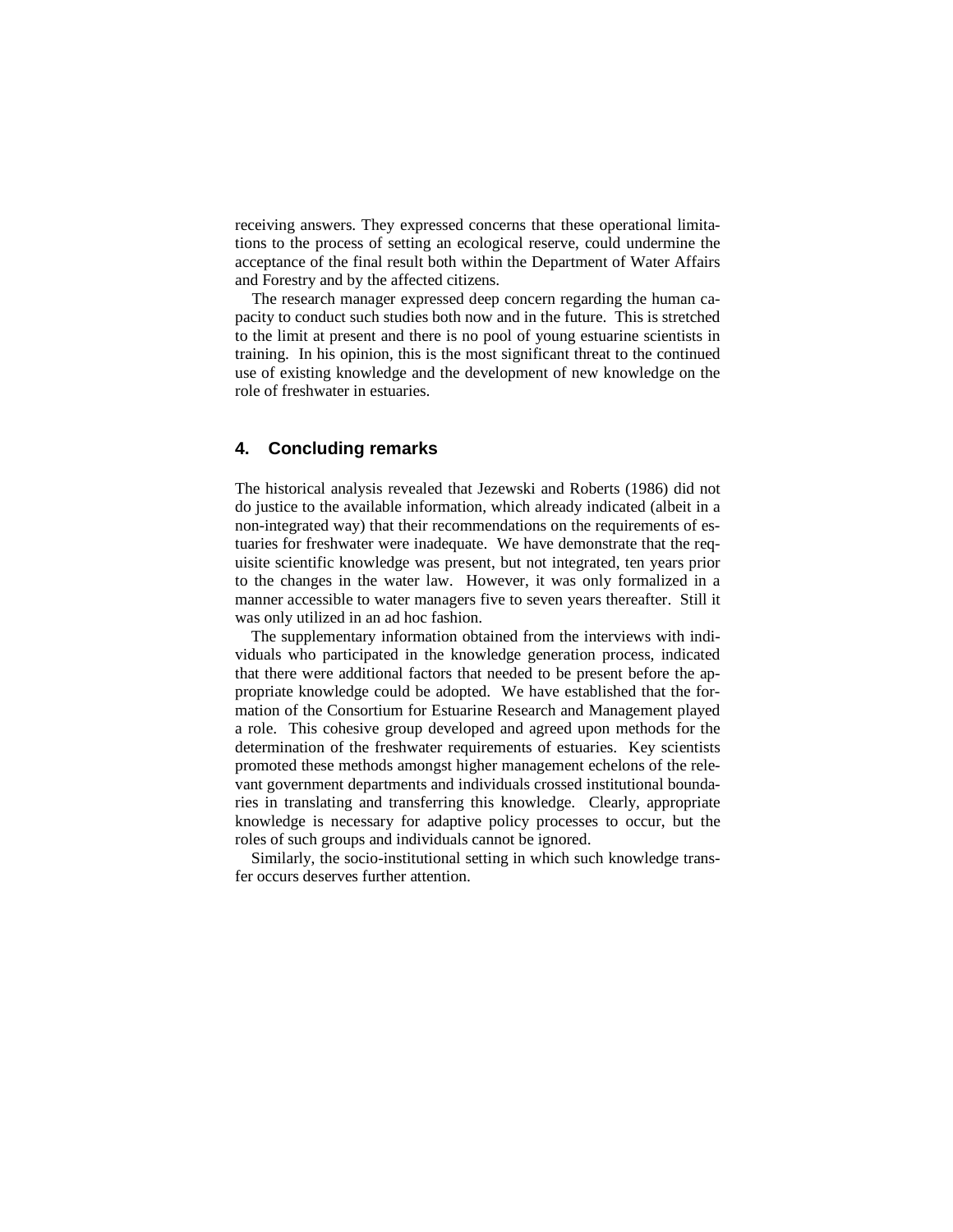receiving answers. They expressed concerns that these operational limitations to the process of setting an ecological reserve, could undermine the acceptance of the final result both within the Department of Water Affairs and Forestry and by the affected citizens.

The research manager expressed deep concern regarding the human capacity to conduct such studies both now and in the future. This is stretched to the limit at present and there is no pool of young estuarine scientists in training. In his opinion, this is the most significant threat to the continued use of existing knowledge and the development of new knowledge on the role of freshwater in estuaries.

# **4. Concluding remarks**

The historical analysis revealed that Jezewski and Roberts (1986) did not do justice to the available information, which already indicated (albeit in a non-integrated way) that their recommendations on the requirements of estuaries for freshwater were inadequate. We have demonstrate that the requisite scientific knowledge was present, but not integrated, ten years prior to the changes in the water law. However, it was only formalized in a manner accessible to water managers five to seven years thereafter. Still it was only utilized in an ad hoc fashion.

The supplementary information obtained from the interviews with individuals who participated in the knowledge generation process, indicated that there were additional factors that needed to be present before the appropriate knowledge could be adopted. We have established that the formation of the Consortium for Estuarine Research and Management played a role. This cohesive group developed and agreed upon methods for the determination of the freshwater requirements of estuaries. Key scientists promoted these methods amongst higher management echelons of the relevant government departments and individuals crossed institutional boundaries in translating and transferring this knowledge. Clearly, appropriate knowledge is necessary for adaptive policy processes to occur, but the roles of such groups and individuals cannot be ignored.

Similarly, the socio-institutional setting in which such knowledge transfer occurs deserves further attention.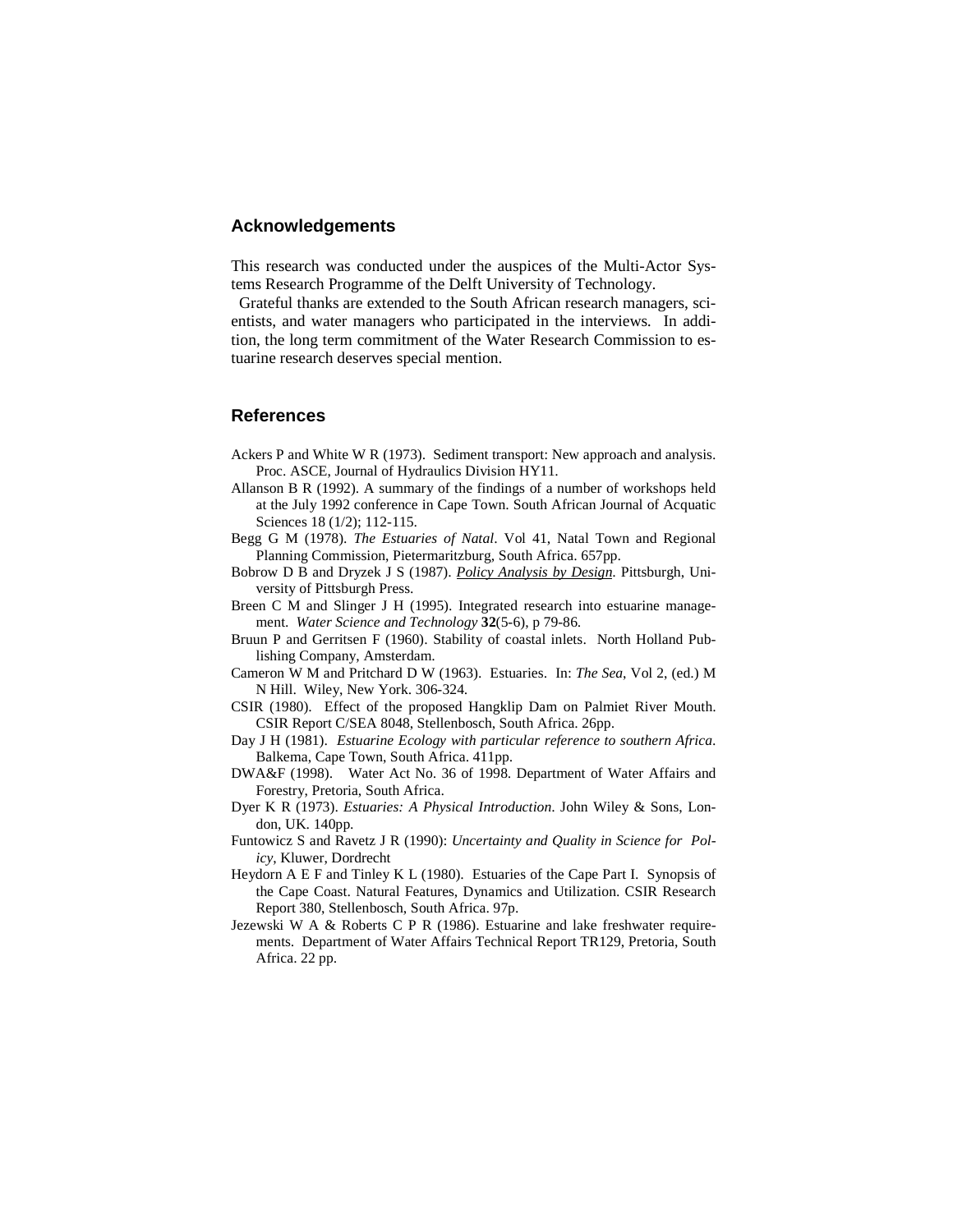### **Acknowledgements**

This research was conducted under the auspices of the Multi-Actor Systems Research Programme of the Delft University of Technology.

 Grateful thanks are extended to the South African research managers, scientists, and water managers who participated in the interviews. In addition, the long term commitment of the Water Research Commission to estuarine research deserves special mention.

# **References**

- Ackers P and White W R (1973). Sediment transport: New approach and analysis. Proc. ASCE, Journal of Hydraulics Division HY11.
- Allanson B R (1992). A summary of the findings of a number of workshops held at the July 1992 conference in Cape Town. South African Journal of Acquatic Sciences 18 (1/2); 112-115.
- Begg G M (1978). *The Estuaries of Natal*. Vol 41, Natal Town and Regional Planning Commission, Pietermaritzburg, South Africa. 657pp.
- Bobrow D B and Dryzek J S (1987). *Policy Analysis by Design*. Pittsburgh, University of Pittsburgh Press.
- Breen C M and Slinger J H (1995). Integrated research into estuarine management. *Water Science and Technology* **32**(5-6), p 79-86.
- Bruun P and Gerritsen F (1960). Stability of coastal inlets. North Holland Publishing Company, Amsterdam.
- Cameron W M and Pritchard D W (1963). Estuaries. In: *The Sea*, Vol 2, (ed.) M N Hill. Wiley, New York. 306-324.
- CSIR (1980). Effect of the proposed Hangklip Dam on Palmiet River Mouth. CSIR Report C/SEA 8048, Stellenbosch, South Africa. 26pp.
- Day J H (1981). *Estuarine Ecology with particular reference to southern Africa*. Balkema, Cape Town, South Africa. 411pp.
- DWA&F (1998). Water Act No. 36 of 1998. Department of Water Affairs and Forestry, Pretoria, South Africa.
- Dyer K R (1973). *Estuaries: A Physical Introduction*. John Wiley & Sons, London, UK. 140pp.
- Funtowicz S and Ravetz J R (1990): *Uncertainty and Quality in Science for Policy*, Kluwer, Dordrecht
- Heydorn A E F and Tinley K L (1980). Estuaries of the Cape Part I. Synopsis of the Cape Coast. Natural Features, Dynamics and Utilization. CSIR Research Report 380, Stellenbosch, South Africa. 97p.
- Jezewski W A & Roberts C P R (1986). Estuarine and lake freshwater requirements. Department of Water Affairs Technical Report TR129, Pretoria, South Africa. 22 pp.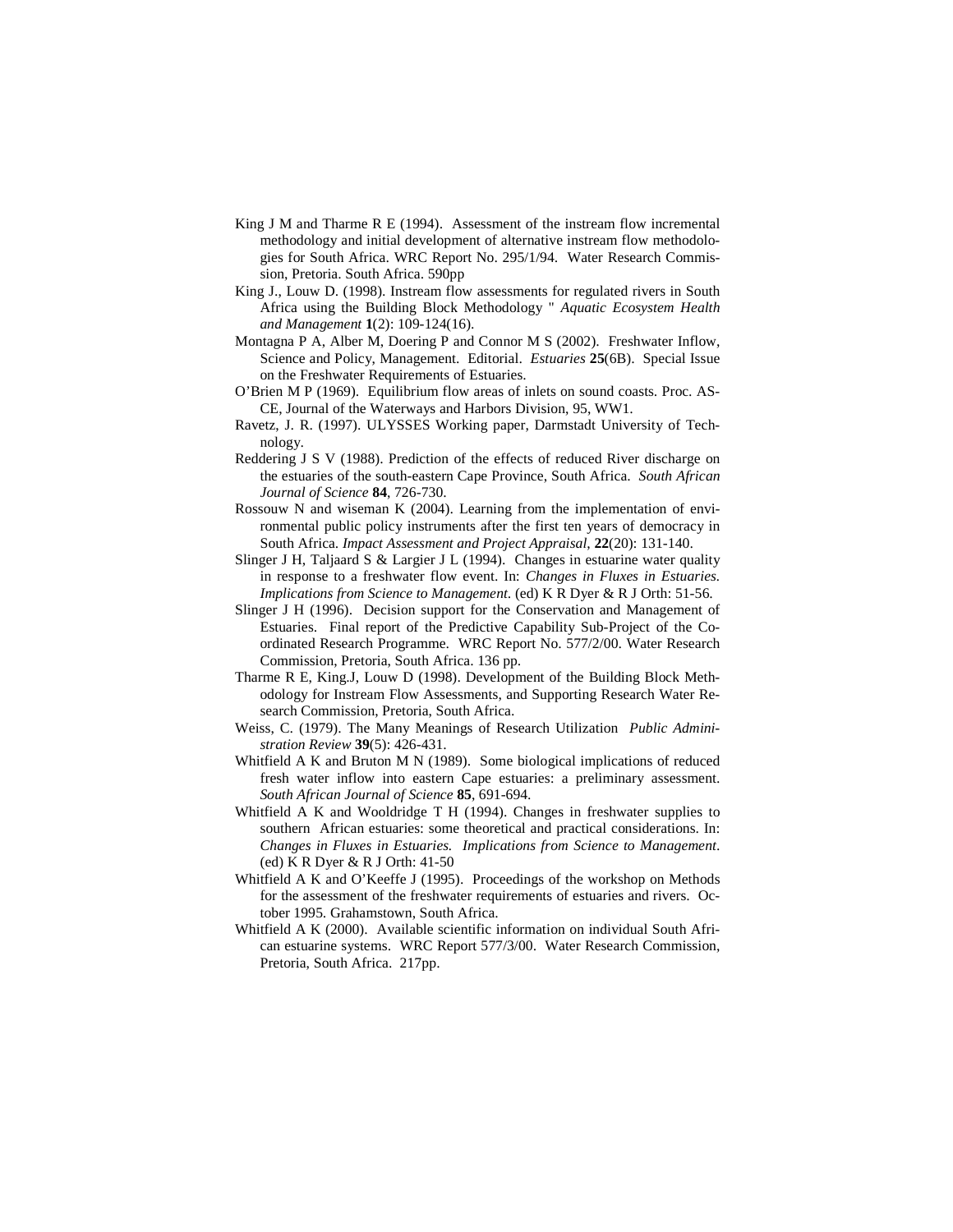- King J M and Tharme R E (1994). Assessment of the instream flow incremental methodology and initial development of alternative instream flow methodologies for South Africa. WRC Report No. 295/1/94. Water Research Commission, Pretoria. South Africa. 590pp
- King J., Louw D. (1998). Instream flow assessments for regulated rivers in South Africa using the Building Block Methodology " *Aquatic Ecosystem Health and Management* **1**(2): 109-124(16).
- Montagna P A, Alber M, Doering P and Connor M S (2002). Freshwater Inflow, Science and Policy, Management. Editorial. *Estuaries* **25**(6B). Special Issue on the Freshwater Requirements of Estuaries.
- O'Brien M P (1969). Equilibrium flow areas of inlets on sound coasts. Proc. AS-CE, Journal of the Waterways and Harbors Division, 95, WW1.
- Ravetz, J. R. (1997). ULYSSES Working paper, Darmstadt University of Technology.
- Reddering J S V (1988). Prediction of the effects of reduced River discharge on the estuaries of the south-eastern Cape Province, South Africa. *South African Journal of Science* **84**, 726-730.
- Rossouw N and wiseman K (2004). Learning from the implementation of environmental public policy instruments after the first ten years of democracy in South Africa. *Impact Assessment and Project Appraisal*, **22**(20): 131-140.
- Slinger J H, Taljaard S & Largier J L (1994). Changes in estuarine water quality in response to a freshwater flow event. In: *Changes in Fluxes in Estuaries. Implications from Science to Management*. (ed) K R Dyer & R J Orth: 51-56.
- Slinger J H (1996). Decision support for the Conservation and Management of Estuaries. Final report of the Predictive Capability Sub-Project of the Coordinated Research Programme. WRC Report No. 577/2/00. Water Research Commission, Pretoria, South Africa. 136 pp.
- Tharme R E, King.J, Louw D (1998). Development of the Building Block Methodology for Instream Flow Assessments, and Supporting Research Water Research Commission, Pretoria, South Africa.
- Weiss, C. (1979). The Many Meanings of Research Utilization *Public Administration Review* **39**(5): 426-431.
- Whitfield A K and Bruton M N (1989). Some biological implications of reduced fresh water inflow into eastern Cape estuaries: a preliminary assessment. *South African Journal of Science* **85**, 691-694.
- Whitfield A K and Wooldridge T H (1994). Changes in freshwater supplies to southern African estuaries: some theoretical and practical considerations. In: *Changes in Fluxes in Estuaries. Implications from Science to Management*. (ed) K R Dyer & R J Orth: 41-50
- Whitfield A K and O'Keeffe J (1995). Proceedings of the workshop on Methods for the assessment of the freshwater requirements of estuaries and rivers. October 1995. Grahamstown, South Africa.
- Whitfield A K (2000). Available scientific information on individual South African estuarine systems. WRC Report 577/3/00. Water Research Commission, Pretoria, South Africa. 217pp.